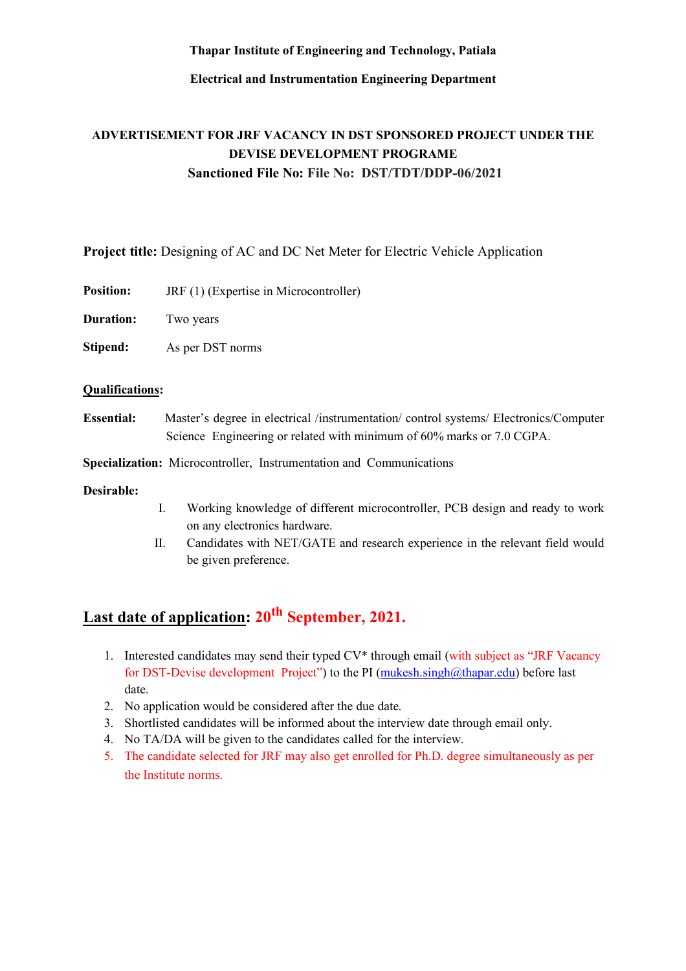**Thapar Institute of Engineering and Technology, Patiala**

**Electrical and Instrumentation Engineering Department**

# **ADVERTISEMENT FOR JRF VACANCY IN DST SPONSORED PROJECT UNDER THE DEVISE DEVELOPMENT PROGRAME Sanctioned File No: File No: DST/TDT/DDP-06/2021**

**Project title:** Designing of AC and DC Net Meter for Electric Vehicle Application

**Position:** JRF (1) (Expertise in Microcontroller)

**Duration:** Two years

**Stipend:** As per DST norms

## **Qualifications:**

**Essential:** Master's degree in electrical /instrumentation/ control systems/ Electronics/Computer Science Engineering or related with minimum of 60% marks or 7.0 CGPA.

**Specialization:** Microcontroller, Instrumentation and Communications

### **Desirable:**

- I. Working knowledge of different microcontroller, PCB design and ready to work on any electronics hardware.
- II. Candidates with NET/GATE and research experience in the relevant field would be given preference.

# Last date of application: 20<sup>th</sup> September, 2021.

- 1. Interested candidates may send their typed CV\* through email (with subject as "JRF Vacancy for DST-Devise development Project") to the PI (mukesh.singh@thapar.edu) before last date.
- 2. No application would be considered after the due date.
- 3. Shortlisted candidates will be informed about the interview date through email only.
- 4. No TA/DA will be given to the candidates called for the interview.
- 5. The candidate selected for JRF may also get enrolled for Ph.D. degree simultaneously as per the Institute norms.